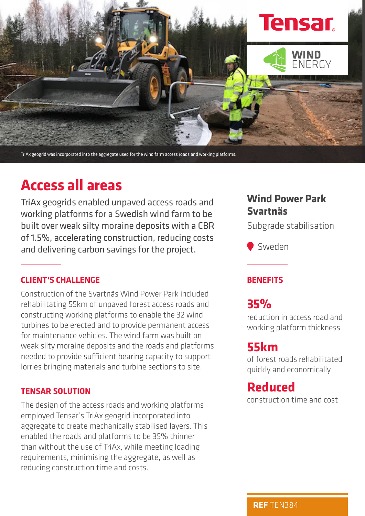

TriAx geogrid was incorporated into the aggregate used for the wind farm access roads and working platforms.

# **Access all areas**

TriAx geogrids enabled unpaved access roads and working platforms for a Swedish wind farm to be built over weak silty moraine deposits with a CBR of 1.5%, accelerating construction, reducing costs and delivering carbon savings for the project.

### **CLIENT'S CHALLENGE**

Construction of the Svartnäs Wind Power Park included rehabilitating 55km of unpaved forest access roads and constructing working platforms to enable the 32 wind turbines to be erected and to provide permanent access for maintenance vehicles. The wind farm was built on weak silty moraine deposits and the roads and platforms needed to provide sufficient bearing capacity to support lorries bringing materials and turbine sections to site.

#### **TENSAR SOLUTION**

The design of the access roads and working platforms employed Tensar's TriAx geogrid incorporated into aggregate to create mechanically stabilised layers. This enabled the roads and platforms to be 35% thinner than without the use of TriAx, while meeting loading requirements, minimising the aggregate, as well as reducing construction time and costs.

## **Wind Power Park Svartnäs**

Subgrade stabilisation

Sweden

### **BENEFITS**

# **35%**

reduction in access road and working platform thickness

# **55km**

of forest roads rehabilitated quickly and economically

## **Reduced**

construction time and cost